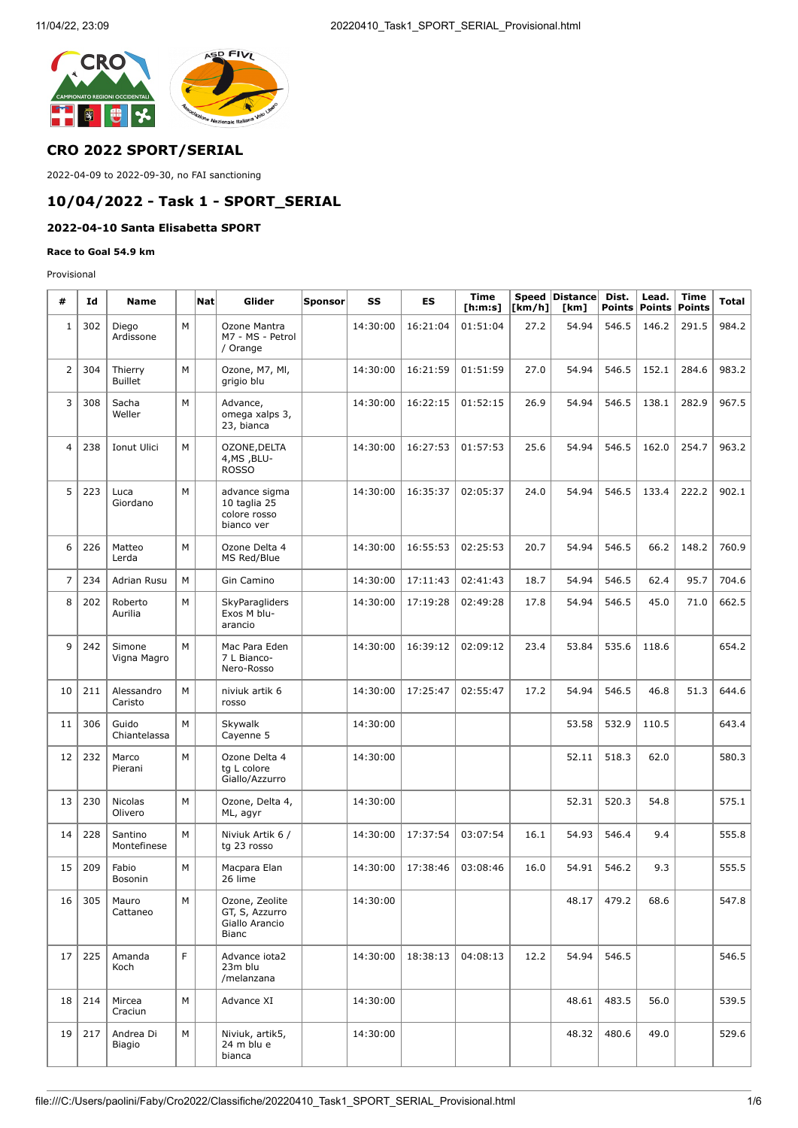

## **CRO 2022 SPORT/SERIAL**

2022-04-09 to 2022-09-30, no FAI sanctioning

# **10/04/2022 - Task 1 - SPORT\_SERIAL**

## **2022-04-10 Santa Elisabetta SPORT**

#### **Race to Goal 54.9 km**

Provisional

| #              | Id  | <b>Name</b>               |   | Nat | Glider                                                             | Sponsor | SS       | ES       | <b>Time</b><br>[h:m:s] | [km/h] | Speed Distance<br>[km] | Dist.<br><b>Points</b> | Lead.<br><b>Points</b> | <b>Time</b><br><b>Points</b> | Total |
|----------------|-----|---------------------------|---|-----|--------------------------------------------------------------------|---------|----------|----------|------------------------|--------|------------------------|------------------------|------------------------|------------------------------|-------|
| $\mathbf 1$    | 302 | Diego<br>Ardissone        | M |     | Ozone Mantra<br>M7 - MS - Petrol<br>/ Orange                       |         | 14:30:00 | 16:21:04 | 01:51:04               | 27.2   | 54.94                  | 546.5                  | 146.2                  | 291.5                        | 984.2 |
| $\overline{2}$ | 304 | Thierry<br><b>Buillet</b> | M |     | Ozone, M7, MI,<br>grigio blu                                       |         | 14:30:00 | 16:21:59 | 01:51:59               | 27.0   | 54.94                  | 546.5                  | 152.1                  | 284.6                        | 983.2 |
| 3              | 308 | Sacha<br>Weller           | M |     | Advance,<br>omega xalps 3,<br>23, bianca                           |         | 14:30:00 | 16:22:15 | 01:52:15               | 26.9   | 54.94                  | 546.5                  | 138.1                  | 282.9                        | 967.5 |
| $\overline{4}$ | 238 | Ionut Ulici               | M |     | OZONE, DELTA<br>4, MS, BLU-<br><b>ROSSO</b>                        |         | 14:30:00 | 16:27:53 | 01:57:53               | 25.6   | 54.94                  | 546.5                  | 162.0                  | 254.7                        | 963.2 |
| 5              | 223 | Luca<br>Giordano          | M |     | advance sigma<br>10 taglia 25<br>colore rosso<br>bianco ver        |         | 14:30:00 | 16:35:37 | 02:05:37               | 24.0   | 54.94                  | 546.5                  | 133.4                  | 222.2                        | 902.1 |
| 6              | 226 | Matteo<br>Lerda           | M |     | Ozone Delta 4<br>MS Red/Blue                                       |         | 14:30:00 | 16:55:53 | 02:25:53               | 20.7   | 54.94                  | 546.5                  | 66.2                   | 148.2                        | 760.9 |
| $\overline{7}$ | 234 | Adrian Rusu               | M |     | Gin Camino                                                         |         | 14:30:00 | 17:11:43 | 02:41:43               | 18.7   | 54.94                  | 546.5                  | 62.4                   | 95.7                         | 704.6 |
| 8              | 202 | Roberto<br>Aurilia        | M |     | SkyParagliders<br>Exos M blu-<br>arancio                           |         | 14:30:00 | 17:19:28 | 02:49:28               | 17.8   | 54.94                  | 546.5                  | 45.0                   | 71.0                         | 662.5 |
| 9              | 242 | Simone<br>Vigna Magro     | M |     | Mac Para Eden<br>7 L Bianco-<br>Nero-Rosso                         |         | 14:30:00 | 16:39:12 | 02:09:12               | 23.4   | 53.84                  | 535.6                  | 118.6                  |                              | 654.2 |
| 10             | 211 | Alessandro<br>Caristo     | M |     | niviuk artik 6<br>rosso                                            |         | 14:30:00 | 17:25:47 | 02:55:47               | 17.2   | 54.94                  | 546.5                  | 46.8                   | 51.3                         | 644.6 |
| 11             | 306 | Guido<br>Chiantelassa     | M |     | Skywalk<br>Cayenne 5                                               |         | 14:30:00 |          |                        |        | 53.58                  | 532.9                  | 110.5                  |                              | 643.4 |
| 12             | 232 | Marco<br>Pierani          | M |     | Ozone Delta 4<br>tg L colore<br>Giallo/Azzurro                     |         | 14:30:00 |          |                        |        | 52.11                  | 518.3                  | 62.0                   |                              | 580.3 |
| 13             | 230 | <b>Nicolas</b><br>Olivero | M |     | Ozone, Delta 4,<br>ML, agyr                                        |         | 14:30:00 |          |                        |        | 52.31                  | 520.3                  | 54.8                   |                              | 575.1 |
| 14             | 228 | Santino<br>Montefinese    | M |     | Niviuk Artik 6 /<br>tg 23 rosso                                    |         | 14:30:00 | 17:37:54 | 03:07:54               | 16.1   | 54.93                  | 546.4                  | 9.4                    |                              | 555.8 |
| 15             | 209 | Fabio<br>Bosonin          | M |     | Macpara Elan<br>26 lime                                            |         | 14:30:00 | 17:38:46 | 03:08:46               | 16.0   | 54.91                  | 546.2                  | 9.3                    |                              | 555.5 |
| 16             | 305 | Mauro<br>Cattaneo         | M |     | Ozone, Zeolite<br>GT, S, Azzurro<br>Giallo Arancio<br><b>Bianc</b> |         | 14:30:00 |          |                        |        | 48.17                  | 479.2                  | 68.6                   |                              | 547.8 |
| 17             | 225 | Amanda<br>Koch            | F |     | Advance iota2<br>23m blu<br>/melanzana                             |         | 14:30:00 | 18:38:13 | 04:08:13               | 12.2   | 54.94                  | 546.5                  |                        |                              | 546.5 |
| 18             | 214 | Mircea<br>Craciun         | M |     | Advance XI                                                         |         | 14:30:00 |          |                        |        | 48.61                  | 483.5                  | 56.0                   |                              | 539.5 |
| 19             | 217 | Andrea Di<br>Biagio       | М |     | Niviuk, artik5,<br>24 m blu e<br>bianca                            |         | 14:30:00 |          |                        |        | 48.32                  | 480.6                  | 49.0                   |                              | 529.6 |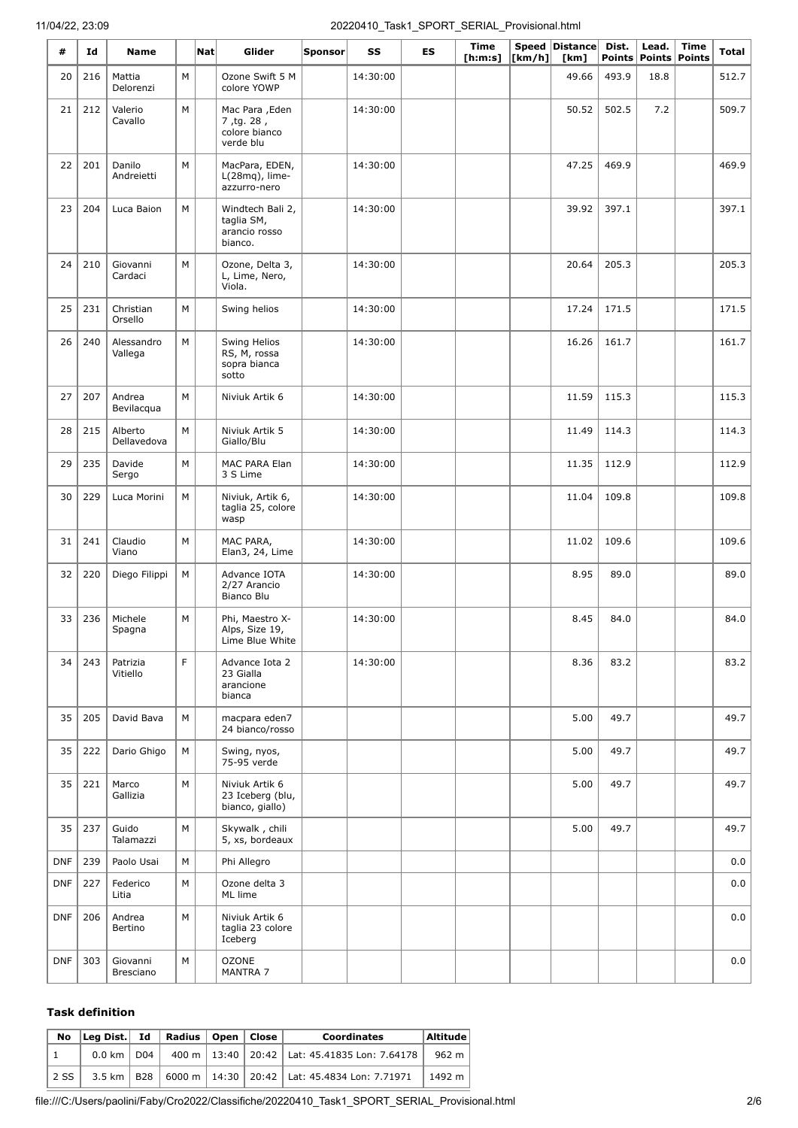| #          | Id  | <b>Name</b>            |   | $\vert$ Nat $\vert$ | Glider                                                      | Sponsor | SS       | ES | Time<br>[ <b>h</b> : <b>m</b> : <b>s</b> ] | [km/h] | Speed Distance<br>[km] | Dist.<br><b>Points</b> | Lead.<br>Points Points | Time | Total |
|------------|-----|------------------------|---|---------------------|-------------------------------------------------------------|---------|----------|----|--------------------------------------------|--------|------------------------|------------------------|------------------------|------|-------|
| 20         | 216 | Mattia<br>Delorenzi    | М |                     | Ozone Swift 5 M<br>colore YOWP                              |         | 14:30:00 |    |                                            |        | 49.66                  | 493.9                  | 18.8                   |      | 512.7 |
| 21         | 212 | Valerio<br>Cavallo     | M |                     | Mac Para , Eden<br>7, tg. 28,<br>colore bianco<br>verde blu |         | 14:30:00 |    |                                            |        | 50.52                  | 502.5                  | 7.2                    |      | 509.7 |
| 22         | 201 | Danilo<br>Andreietti   | M |                     | MacPara, EDEN,<br>L(28mq), lime-<br>azzurro-nero            |         | 14:30:00 |    |                                            |        | 47.25                  | 469.9                  |                        |      | 469.9 |
| 23         | 204 | Luca Baion             | M |                     | Windtech Bali 2,<br>taglia SM,<br>arancio rosso<br>bianco.  |         | 14:30:00 |    |                                            |        | 39.92                  | 397.1                  |                        |      | 397.1 |
| 24         | 210 | Giovanni<br>Cardaci    | М |                     | Ozone, Delta 3,<br>L, Lime, Nero,<br>Viola.                 |         | 14:30:00 |    |                                            |        | 20.64                  | 205.3                  |                        |      | 205.3 |
| 25         | 231 | Christian<br>Orsello   | M |                     | Swing helios                                                |         | 14:30:00 |    |                                            |        | 17.24                  | 171.5                  |                        |      | 171.5 |
| 26         | 240 | Alessandro<br>Vallega  | М |                     | Swing Helios<br>RS, M, rossa<br>sopra bianca<br>sotto       |         | 14:30:00 |    |                                            |        | 16.26                  | 161.7                  |                        |      | 161.7 |
| 27         | 207 | Andrea<br>Bevilacqua   | M |                     | Niviuk Artik 6                                              |         | 14:30:00 |    |                                            |        | 11.59                  | 115.3                  |                        |      | 115.3 |
| 28         | 215 | Alberto<br>Dellavedova | М |                     | Niviuk Artik 5<br>Giallo/Blu                                |         | 14:30:00 |    |                                            |        | 11.49                  | 114.3                  |                        |      | 114.3 |
| 29         | 235 | Davide<br>Sergo        | M |                     | MAC PARA Elan<br>3 S Lime                                   |         | 14:30:00 |    |                                            |        | 11.35                  | 112.9                  |                        |      | 112.9 |
| 30         | 229 | Luca Morini            | M |                     | Niviuk, Artik 6,<br>taglia 25, colore<br>wasp               |         | 14:30:00 |    |                                            |        | 11.04                  | 109.8                  |                        |      | 109.8 |
| 31         | 241 | Claudio<br>Viano       | M |                     | MAC PARA,<br>Elan3, 24, Lime                                |         | 14:30:00 |    |                                            |        | 11.02                  | 109.6                  |                        |      | 109.6 |
| 32         | 220 | Diego Filippi          | М |                     | Advance IOTA<br>2/27 Arancio<br>Bianco Blu                  |         | 14:30:00 |    |                                            |        | 8.95                   | 89.0                   |                        |      | 89.0  |
| 33         | 236 | Michele<br>Spagna      | M |                     | Phi, Maestro X-<br>Alps, Size 19,<br>Lime Blue White        |         | 14:30:00 |    |                                            |        | 8.45                   | 84.0                   |                        |      | 84.0  |
| 34         | 243 | Patrizia<br>Vitiello   | F |                     | Advance Iota 2<br>23 Gialla<br>arancione<br>bianca          |         | 14:30:00 |    |                                            |        | 8.36                   | 83.2                   |                        |      | 83.2  |
| 35         | 205 | David Bava             | M |                     | macpara eden7<br>24 bianco/rosso                            |         |          |    |                                            |        | 5.00                   | 49.7                   |                        |      | 49.7  |
| 35         | 222 | Dario Ghigo            | М |                     | Swing, nyos,<br>75-95 verde                                 |         |          |    |                                            |        | 5.00                   | 49.7                   |                        |      | 49.7  |
| 35         | 221 | Marco<br>Gallizia      | M |                     | Niviuk Artik 6<br>23 Iceberg (blu,<br>bianco, giallo)       |         |          |    |                                            |        | 5.00                   | 49.7                   |                        |      | 49.7  |
| 35         | 237 | Guido<br>Talamazzi     | M |                     | Skywalk, chili<br>5, xs, bordeaux                           |         |          |    |                                            |        | 5.00                   | 49.7                   |                        |      | 49.7  |
| <b>DNF</b> | 239 | Paolo Usai             | М |                     | Phi Allegro                                                 |         |          |    |                                            |        |                        |                        |                        |      | 0.0   |
| <b>DNF</b> | 227 | Federico<br>Litia      | М |                     | Ozone delta 3<br>ML lime                                    |         |          |    |                                            |        |                        |                        |                        |      | 0.0   |
| <b>DNF</b> | 206 | Andrea<br>Bertino      | М |                     | Niviuk Artik 6<br>taglia 23 colore<br>Iceberg               |         |          |    |                                            |        |                        |                        |                        |      | 0.0   |
| <b>DNF</b> | 303 | Giovanni<br>Bresciano  | М |                     | <b>OZONE</b><br>MANTRA 7                                    |         |          |    |                                            |        |                        |                        |                        |      | 0.0   |

#### **Task definition**

|      | No Leg Dist. Id   Radius   Open   Close |  |  | <b>Coordinates</b>                                                | Altitude |
|------|-----------------------------------------|--|--|-------------------------------------------------------------------|----------|
|      |                                         |  |  | 0.0 km   D04   400 m   13:40   20:42   Lat: 45.41835 Lon: 7.64178 | 962 m    |
| 2 SS |                                         |  |  | 3.5 km   B28   6000 m   14:30   20:42   Lat: 45.4834 Lon: 7.71971 | 1492 m   |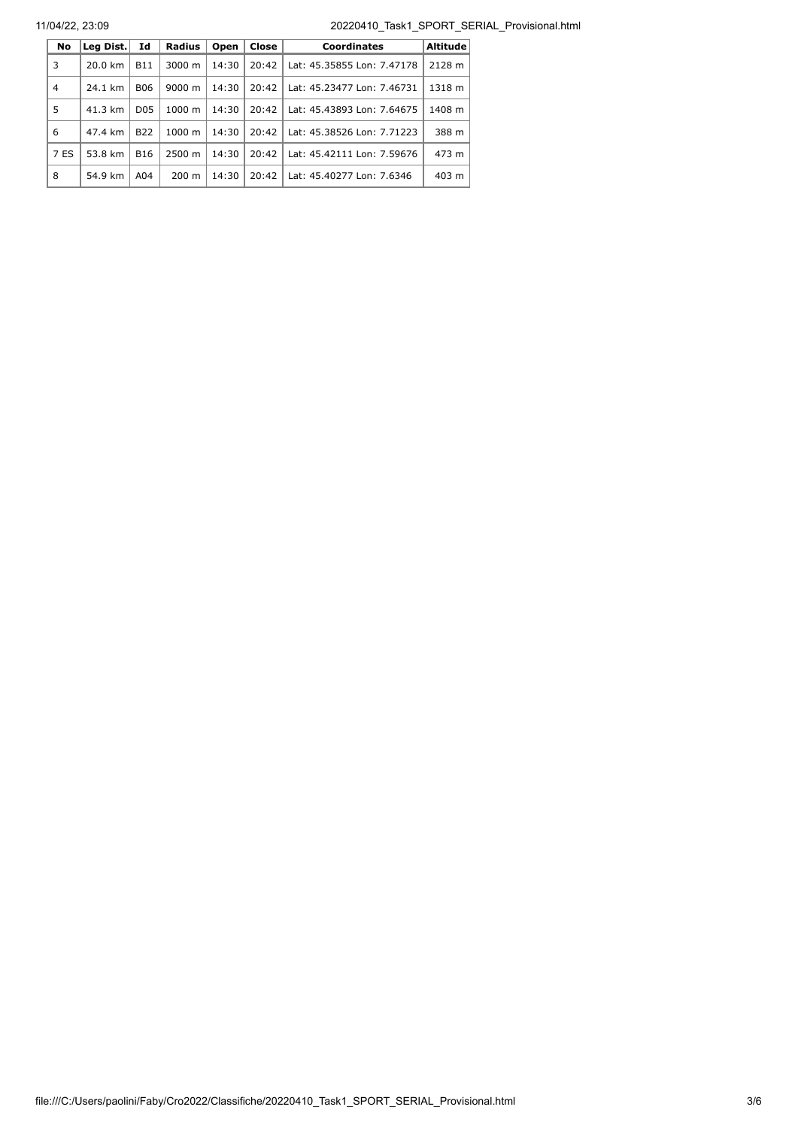11/04/22, 23:09 20220410\_Task1\_SPORT\_SERIAL\_Provisional.html

| <b>No</b> | Leg Dist. | Id              | <b>Radius</b>   | Open  | Close | Coordinates                | <b>Altitude</b> |
|-----------|-----------|-----------------|-----------------|-------|-------|----------------------------|-----------------|
| 3         | 20.0 km   | <b>B11</b>      | 3000 m          | 14:30 | 20:42 | Lat: 45.35855 Lon: 7.47178 | 2128 m          |
| 4         | 24.1 km   | <b>B06</b>      | $9000 \; m$     | 14:30 | 20:42 | Lat: 45.23477 Lon: 7.46731 | 1318 m          |
| 5         | 41.3 km   | D <sub>05</sub> | 1000 m          | 14:30 | 20:42 | Lat: 45.43893 Lon: 7.64675 | 1408 m          |
| 6         | 47.4 km   | <b>B22</b>      | 1000 m          | 14:30 | 20:42 | Lat: 45.38526 Lon: 7.71223 | 388 m           |
| 7 ES      | 53.8 km   | <b>B16</b>      | 2500 m          | 14:30 | 20:42 | Lat: 45.42111 Lon: 7.59676 | 473 m           |
| 8         | 54.9 km   | A04             | $200 \text{ m}$ | 14:30 | 20:42 | Lat: 45.40277 Lon: 7.6346  | 403 m           |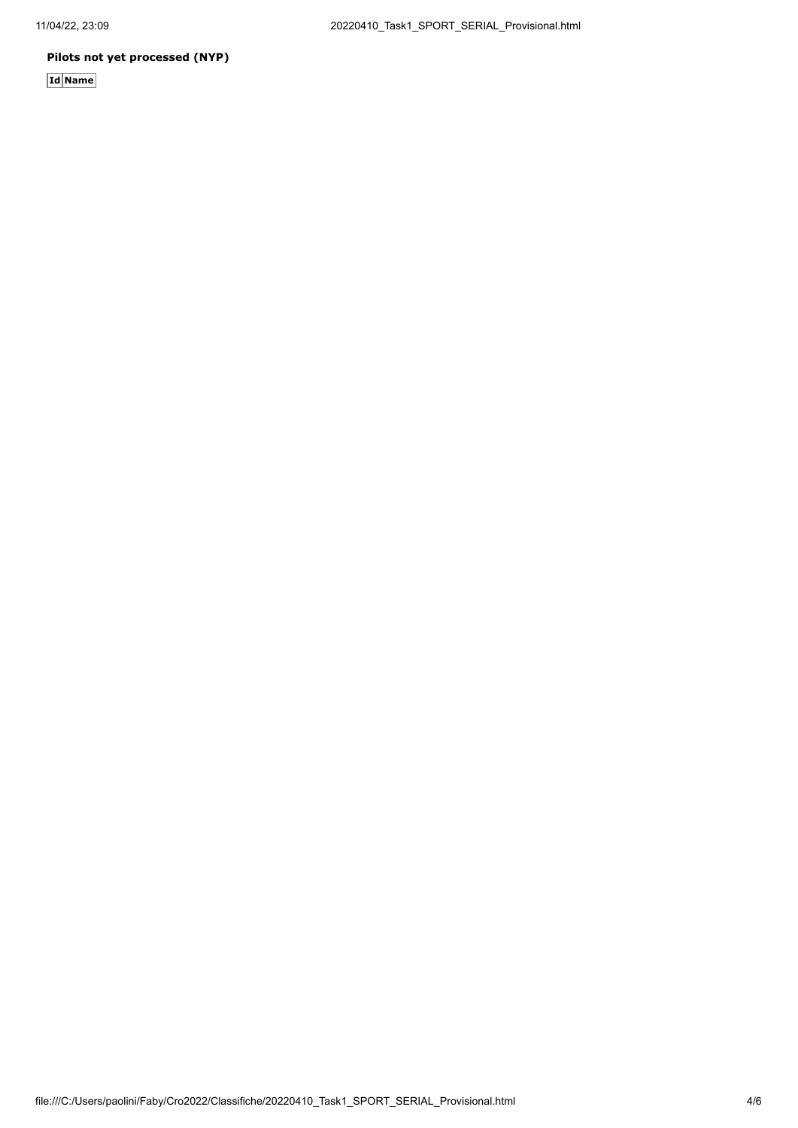## **Pilots not yet processed (NYP)**

**Id Name**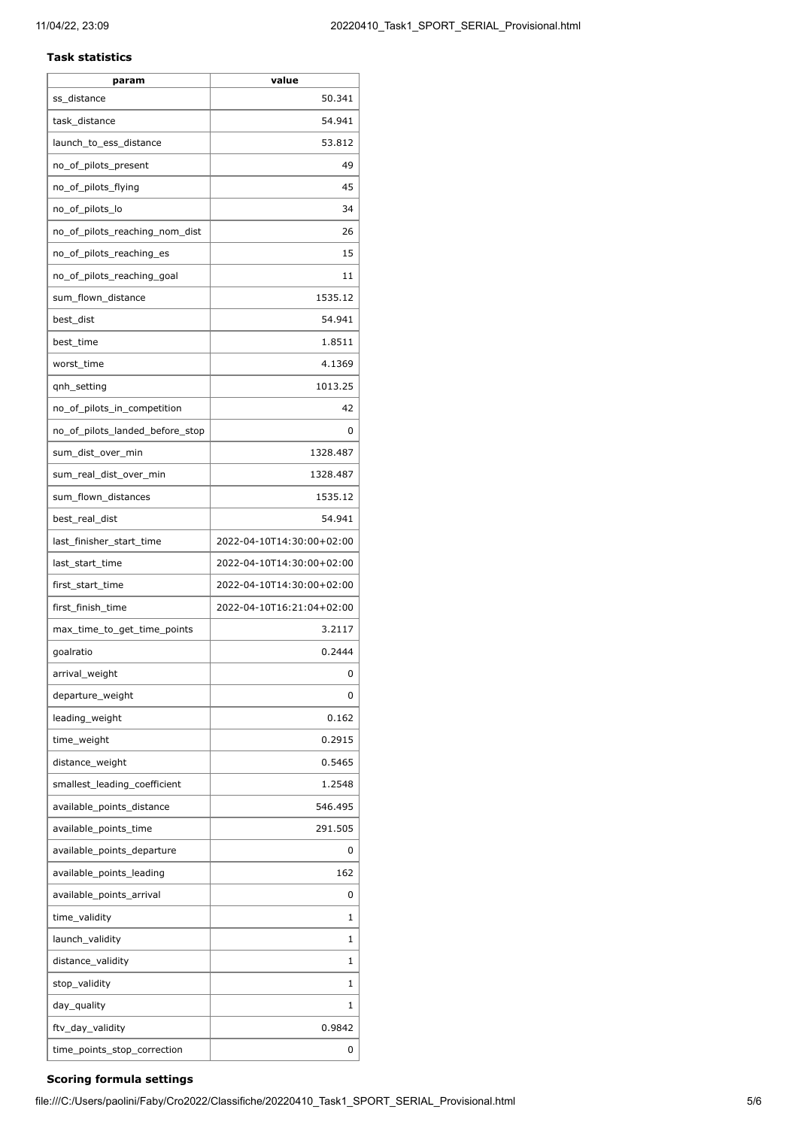#### **Task statistics**

| param                           | value                     |
|---------------------------------|---------------------------|
| ss_distance                     | 50.341                    |
| task_distance                   | 54.941                    |
| launch to ess distance          | 53.812                    |
| no_of_pilots_present            | 49                        |
| no_of_pilots_flying             | 45                        |
| no_of_pilots_lo                 | 34                        |
| no_of_pilots_reaching_nom_dist  | 26                        |
| no_of_pilots_reaching_es        | 15                        |
| no_of_pilots_reaching_goal      | 11                        |
| sum_flown_distance              | 1535.12                   |
| best_dist                       | 54.941                    |
| best time                       | 1.8511                    |
| worst_time                      | 4.1369                    |
| qnh_setting                     | 1013.25                   |
| no_of_pilots_in_competition     | 42                        |
| no_of_pilots_landed_before_stop | 0                         |
| sum_dist_over_min               | 1328.487                  |
| sum_real_dist_over_min          | 1328.487                  |
| sum_flown_distances             | 1535.12                   |
| best_real_dist                  | 54.941                    |
| last_finisher_start_time        | 2022-04-10T14:30:00+02:00 |
| last_start_time                 | 2022-04-10T14:30:00+02:00 |
| first_start_time                | 2022-04-10T14:30:00+02:00 |
| first_finish_time               | 2022-04-10T16:21:04+02:00 |
| max_time_to_get_time_points     | 3.2117                    |
| goalratio                       | 0.2444                    |
| arrival_weight                  | 0                         |
| departure_weight                | 0                         |
| leading_weight                  | 0.162                     |
| time_weight                     | 0.2915                    |
| distance_weight                 | 0.5465                    |
| smallest_leading_coefficient    | 1.2548                    |
| available_points_distance       | 546.495                   |
| available_points_time           | 291.505                   |
| available_points_departure      | 0                         |
| available_points_leading        | 162                       |
| available_points_arrival        | 0                         |
| time_validity                   | 1                         |
| launch_validity                 | 1                         |
| distance_validity               | 1                         |
| stop_validity                   | 1                         |
| day_quality                     | 1                         |
| ftv_day_validity                | 0.9842                    |
| time_points_stop_correction     | 0                         |
|                                 |                           |

## **Scoring formula settings**